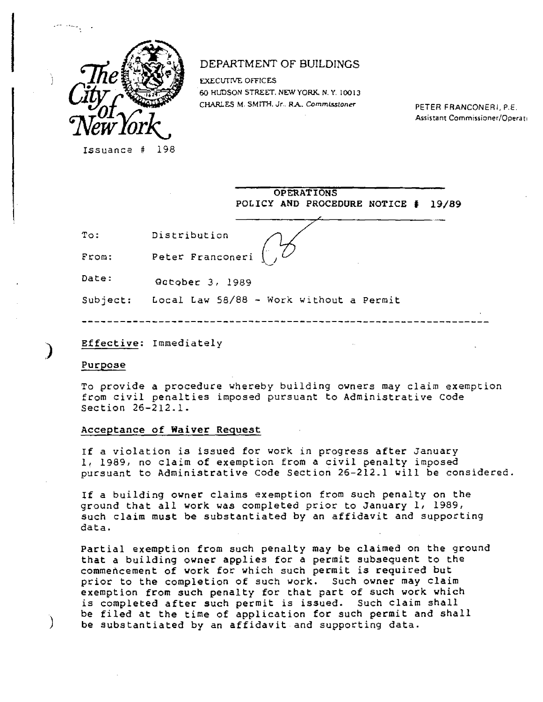

## DEPARTMENT OF BUILDINGS

**EXECUTIVE OFFICES** 60 HUDSON STREET. NEW YORK. N. Y. 10013 CHARLES M. SMITH. Jr.. RA. **CornmLssioner** PETER FRANCONERJ, P.E.

Assistant Commissioner/Operati

Issuance # 198

**OPERATIONS POLICY AND PROCEDURE NOTICE # 19/89** 

To: Distribution

From: Peter Franconeri

Date: October 3, 1989

Subject: Local Law 58/88 - Work without a Permit

**Effective:** Immediately

**Purpose** 

To provide a procedure whereby building owners may claim exemption from civil penalties imposed pursuant to Administrative Code Section 26-212.1.

## **Acceptance of Waiver Request**

**If** a violation is issued for work in progress after January 1, 1989, no claim **of** exemption from a civil penalty imposed pursuant to Administrative Code Section 26-212.1 will be considered

If a building owner claims exemption from such penalty on the ground that **all work** was completed prior to January 1, 1989, such claim **must be** substantiated by an affidavit and supporting data.

**Partial exemption from such penalty may be claimed on the** ground **that a building owner applies for a permit subsequent to the commencement of work** for which such permit is required **but**  prior **to the completion of such work.** Such **owner may claim exemption from such penalty for that part of such work which is completed after such permit is issued.** Such claim shall **be filed at the time of application for such permit and shall be substantiated by an affidavit and supporting data.**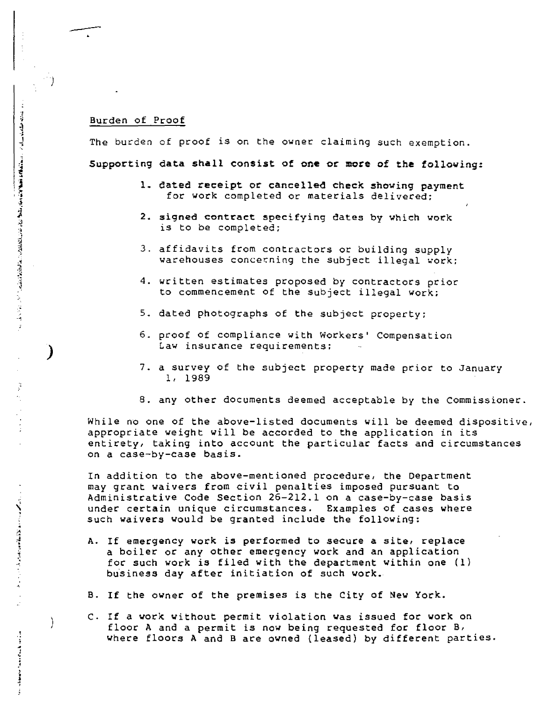## Burden of Proof

-)

**このことは、その中に、このようなのでは、そのことには、そのこのから、そのこのから、そのことになっていく。 こうしょう** 

しょうきょう こうほう きょうかん アーバー

the state of the first party of the state of

j

The burden of proof is on the owner claiming such exemption. **Supporting data shall consist of one or more of the following:** 

- **1. dated receipt or cancelled check showing payment**  for work completed or materials delivered;
- **2. signed contract specifying dates by which work**  is to be completed;
- 3. affidavits from contractors or building **supply**  warehouses concerning the subject illegal work;
- 4. written estimates proposed by contractors prior to commencement of the subject illegal work;
- 5. dated photographs of the subject property;
- 6. proof of compliance with Workers' Compensation Law insurance requirements;
- 7. a survey of the subject property made prior to January 1, 1989
- 8. any other documents deemed acceptable by the Commissioner.

While no one of the above-listed documents will be deemed dispositive, appropriate weight will be accorded to the application in its entirety, taking into account the particular facts and circumstances on a case-by-case basis.

In addition to the above-mentioned procedure, the Department may grant waivers from civil penalties imposed pursuant to Administrative Code Section 26-212.1 on a case-by-case basis under certain unique circumstances. Examples of cases where such waivers would be granted include **the following:** 

- A. If emergency work is performed to secure a site, **replace**  a boiler or any **other** emergency work and an application for such work is filed with the department within one (1) business day after initiation of such work.
- **B. If the owner** of the premises is the City of New York.
- C. If a work without permit violation was issued for work on floor A and a permit is now being requested for floor B, where floors A and B are owned (leased) by different parties.